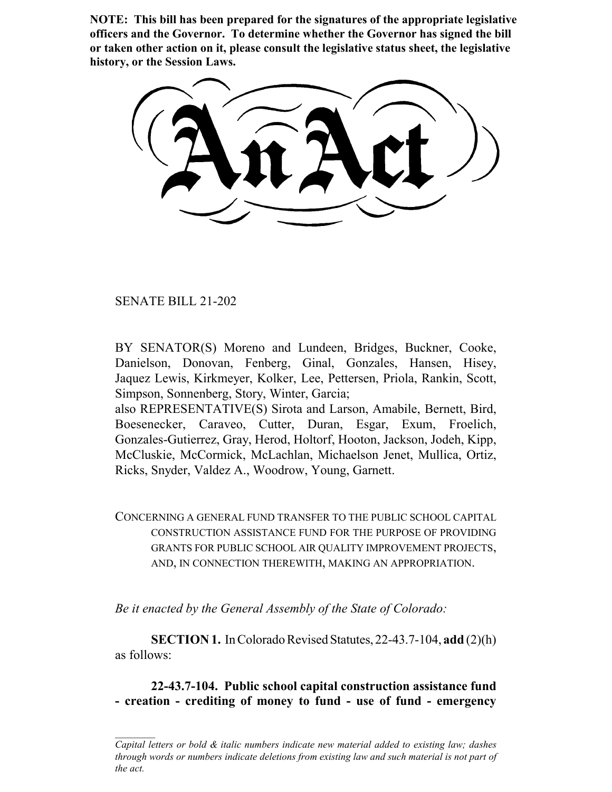**NOTE: This bill has been prepared for the signatures of the appropriate legislative officers and the Governor. To determine whether the Governor has signed the bill or taken other action on it, please consult the legislative status sheet, the legislative history, or the Session Laws.**

SENATE BILL 21-202

BY SENATOR(S) Moreno and Lundeen, Bridges, Buckner, Cooke, Danielson, Donovan, Fenberg, Ginal, Gonzales, Hansen, Hisey, Jaquez Lewis, Kirkmeyer, Kolker, Lee, Pettersen, Priola, Rankin, Scott, Simpson, Sonnenberg, Story, Winter, Garcia;

also REPRESENTATIVE(S) Sirota and Larson, Amabile, Bernett, Bird, Boesenecker, Caraveo, Cutter, Duran, Esgar, Exum, Froelich, Gonzales-Gutierrez, Gray, Herod, Holtorf, Hooton, Jackson, Jodeh, Kipp, McCluskie, McCormick, McLachlan, Michaelson Jenet, Mullica, Ortiz, Ricks, Snyder, Valdez A., Woodrow, Young, Garnett.

CONCERNING A GENERAL FUND TRANSFER TO THE PUBLIC SCHOOL CAPITAL CONSTRUCTION ASSISTANCE FUND FOR THE PURPOSE OF PROVIDING GRANTS FOR PUBLIC SCHOOL AIR QUALITY IMPROVEMENT PROJECTS, AND, IN CONNECTION THEREWITH, MAKING AN APPROPRIATION.

*Be it enacted by the General Assembly of the State of Colorado:*

**SECTION 1.** In Colorado Revised Statutes, 22-43.7-104, **add** (2)(h) as follows:

**22-43.7-104. Public school capital construction assistance fund - creation - crediting of money to fund - use of fund - emergency**

*Capital letters or bold & italic numbers indicate new material added to existing law; dashes through words or numbers indicate deletions from existing law and such material is not part of the act.*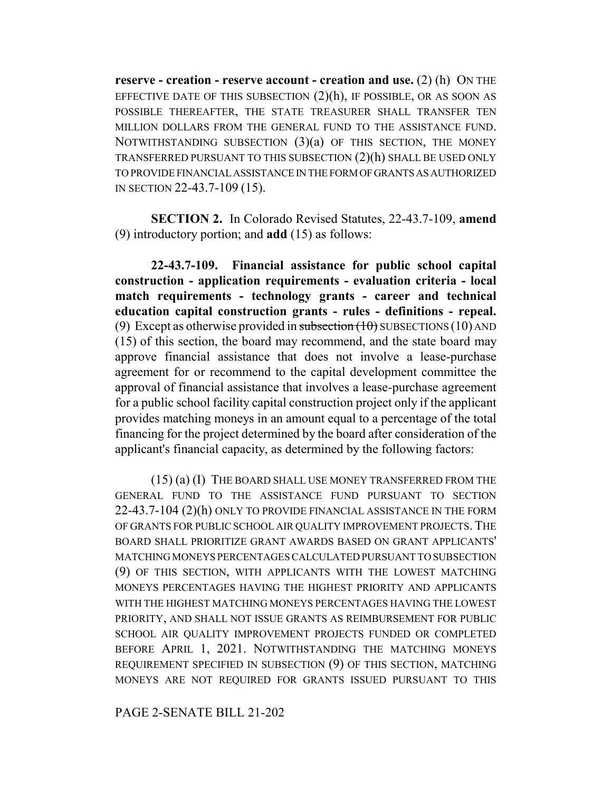**reserve - creation - reserve account - creation and use.** (2) (h) ON THE EFFECTIVE DATE OF THIS SUBSECTION  $(2)(h)$ , IF POSSIBLE, OR AS SOON AS POSSIBLE THEREAFTER, THE STATE TREASURER SHALL TRANSFER TEN MILLION DOLLARS FROM THE GENERAL FUND TO THE ASSISTANCE FUND. NOTWITHSTANDING SUBSECTION  $(3)(a)$  OF THIS SECTION, THE MONEY TRANSFERRED PURSUANT TO THIS SUBSECTION (2)(h) SHALL BE USED ONLY TO PROVIDE FINANCIAL ASSISTANCE IN THE FORM OF GRANTS AS AUTHORIZED IN SECTION 22-43.7-109 (15).

**SECTION 2.** In Colorado Revised Statutes, 22-43.7-109, **amend** (9) introductory portion; and **add** (15) as follows:

**22-43.7-109. Financial assistance for public school capital construction - application requirements - evaluation criteria - local match requirements - technology grants - career and technical education capital construction grants - rules - definitions - repeal.** (9) Except as otherwise provided in subsection  $(10)$  SUBSECTIONS (10) AND (15) of this section, the board may recommend, and the state board may approve financial assistance that does not involve a lease-purchase agreement for or recommend to the capital development committee the approval of financial assistance that involves a lease-purchase agreement for a public school facility capital construction project only if the applicant provides matching moneys in an amount equal to a percentage of the total financing for the project determined by the board after consideration of the applicant's financial capacity, as determined by the following factors:

(15) (a) (I) THE BOARD SHALL USE MONEY TRANSFERRED FROM THE GENERAL FUND TO THE ASSISTANCE FUND PURSUANT TO SECTION 22-43.7-104 (2)(h) ONLY TO PROVIDE FINANCIAL ASSISTANCE IN THE FORM OF GRANTS FOR PUBLIC SCHOOL AIR QUALITY IMPROVEMENT PROJECTS.THE BOARD SHALL PRIORITIZE GRANT AWARDS BASED ON GRANT APPLICANTS' MATCHING MONEYS PERCENTAGES CALCULATED PURSUANT TO SUBSECTION (9) OF THIS SECTION, WITH APPLICANTS WITH THE LOWEST MATCHING MONEYS PERCENTAGES HAVING THE HIGHEST PRIORITY AND APPLICANTS WITH THE HIGHEST MATCHING MONEYS PERCENTAGES HAVING THE LOWEST PRIORITY, AND SHALL NOT ISSUE GRANTS AS REIMBURSEMENT FOR PUBLIC SCHOOL AIR QUALITY IMPROVEMENT PROJECTS FUNDED OR COMPLETED BEFORE APRIL 1, 2021. NOTWITHSTANDING THE MATCHING MONEYS REQUIREMENT SPECIFIED IN SUBSECTION (9) OF THIS SECTION, MATCHING MONEYS ARE NOT REQUIRED FOR GRANTS ISSUED PURSUANT TO THIS

PAGE 2-SENATE BILL 21-202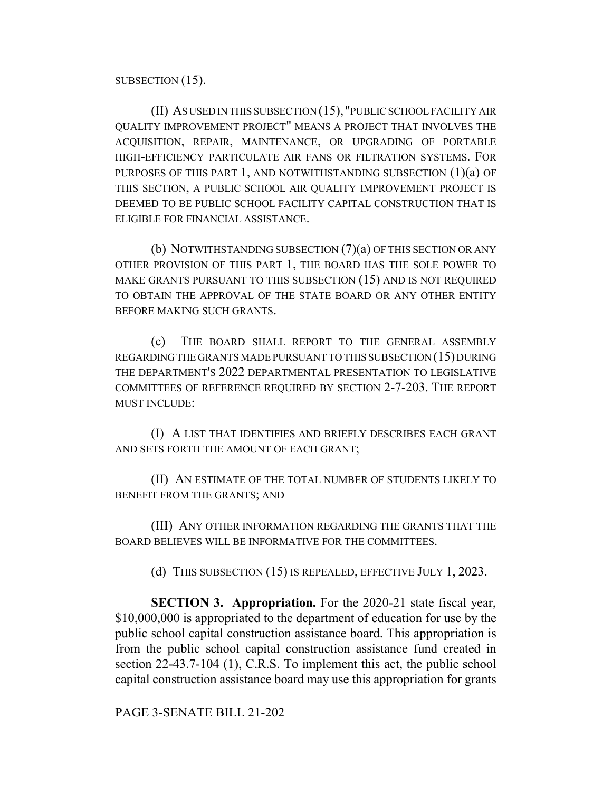SUBSECTION (15).

(II) AS USED IN THIS SUBSECTION (15), "PUBLIC SCHOOL FACILITY AIR QUALITY IMPROVEMENT PROJECT" MEANS A PROJECT THAT INVOLVES THE ACQUISITION, REPAIR, MAINTENANCE, OR UPGRADING OF PORTABLE HIGH-EFFICIENCY PARTICULATE AIR FANS OR FILTRATION SYSTEMS. FOR PURPOSES OF THIS PART 1, AND NOTWITHSTANDING SUBSECTION  $(1)(a)$  OF THIS SECTION, A PUBLIC SCHOOL AIR QUALITY IMPROVEMENT PROJECT IS DEEMED TO BE PUBLIC SCHOOL FACILITY CAPITAL CONSTRUCTION THAT IS ELIGIBLE FOR FINANCIAL ASSISTANCE.

(b) NOTWITHSTANDING SUBSECTION (7)(a) OF THIS SECTION OR ANY OTHER PROVISION OF THIS PART 1, THE BOARD HAS THE SOLE POWER TO MAKE GRANTS PURSUANT TO THIS SUBSECTION (15) AND IS NOT REQUIRED TO OBTAIN THE APPROVAL OF THE STATE BOARD OR ANY OTHER ENTITY BEFORE MAKING SUCH GRANTS.

(c) THE BOARD SHALL REPORT TO THE GENERAL ASSEMBLY REGARDING THE GRANTS MADE PURSUANT TO THIS SUBSECTION (15) DURING THE DEPARTMENT'S 2022 DEPARTMENTAL PRESENTATION TO LEGISLATIVE COMMITTEES OF REFERENCE REQUIRED BY SECTION 2-7-203. THE REPORT MUST INCLUDE:

(I) A LIST THAT IDENTIFIES AND BRIEFLY DESCRIBES EACH GRANT AND SETS FORTH THE AMOUNT OF EACH GRANT;

(II) AN ESTIMATE OF THE TOTAL NUMBER OF STUDENTS LIKELY TO BENEFIT FROM THE GRANTS; AND

(III) ANY OTHER INFORMATION REGARDING THE GRANTS THAT THE BOARD BELIEVES WILL BE INFORMATIVE FOR THE COMMITTEES.

(d) THIS SUBSECTION (15) IS REPEALED, EFFECTIVE JULY 1, 2023.

**SECTION 3. Appropriation.** For the 2020-21 state fiscal year, \$10,000,000 is appropriated to the department of education for use by the public school capital construction assistance board. This appropriation is from the public school capital construction assistance fund created in section 22-43.7-104 (1), C.R.S. To implement this act, the public school capital construction assistance board may use this appropriation for grants

PAGE 3-SENATE BILL 21-202